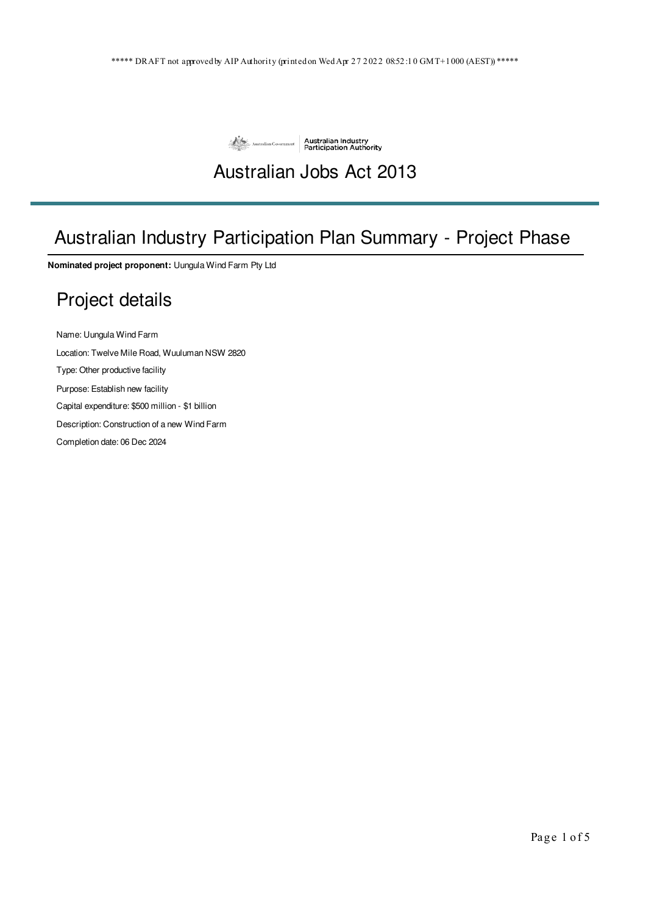

# Australian Jobs Act 2013

# Australian Industry Participation Plan Summary - Project Phase

**Nominated project proponent:** Uungula Wind Farm Pty Ltd

# Project details

Name: Uungula Wind Farm

Location: Twelve Mile Road, Wuuluman NSW 2820

Type: Other productive facility

Purpose: Establish new facility

Capital expenditure: \$500 million - \$1 billion

Description: Construction of a new Wind Farm

Completion date: 06 Dec 2024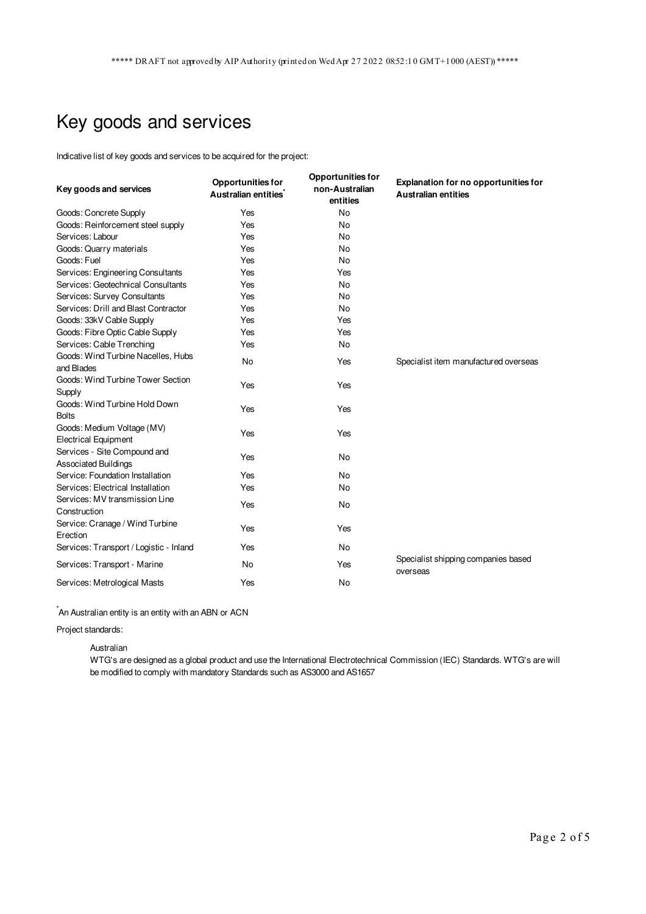# Key goods and services

Indicative list of key goods and services to be acquired for the project:

| Key goods and services                                    | <b>Opportunities for</b><br>Australian entities <sup>*</sup> | <b>Opportunities for</b><br>non-Australian<br>entities | <b>Explanation for no opportunities for</b><br><b>Australian entities</b> |
|-----------------------------------------------------------|--------------------------------------------------------------|--------------------------------------------------------|---------------------------------------------------------------------------|
| Goods: Concrete Supply                                    | Yes                                                          | <b>No</b>                                              |                                                                           |
| Goods: Reinforcement steel supply                         | Yes                                                          | <b>No</b>                                              |                                                                           |
| Services: Labour                                          | Yes                                                          | <b>No</b>                                              |                                                                           |
| Goods: Quarry materials                                   | Yes                                                          | <b>No</b>                                              |                                                                           |
| Goods: Fuel                                               | Yes                                                          | <b>No</b>                                              |                                                                           |
| Services: Engineering Consultants                         | Yes                                                          | Yes                                                    |                                                                           |
| Services: Geotechnical Consultants                        | Yes                                                          | <b>No</b>                                              |                                                                           |
| Services: Survey Consultants                              | Yes                                                          | <b>No</b>                                              |                                                                           |
| Services: Drill and Blast Contractor                      | Yes                                                          | <b>No</b>                                              |                                                                           |
| Goods: 33kV Cable Supply                                  | Yes                                                          | Yes                                                    |                                                                           |
| Goods: Fibre Optic Cable Supply                           | Yes                                                          | Yes                                                    |                                                                           |
| Services: Cable Trenching                                 | Yes                                                          | <b>No</b>                                              |                                                                           |
| Goods: Wind Turbine Nacelles, Hubs<br>and Blades          | No                                                           | Yes                                                    | Specialist item manufactured overseas                                     |
| Goods: Wind Turbine Tower Section<br>Supply               | Yes                                                          | Yes                                                    |                                                                           |
| Goods: Wind Turbine Hold Down<br><b>Bolts</b>             | Yes                                                          | Yes                                                    |                                                                           |
| Goods: Medium Voltage (MV)<br><b>Electrical Equipment</b> | Yes                                                          | Yes                                                    |                                                                           |
| Services - Site Compound and<br>Associated Buildings      | Yes                                                          | No                                                     |                                                                           |
| Service: Foundation Installation                          | Yes                                                          | <b>No</b>                                              |                                                                           |
| Services: Electrical Installation                         | Yes                                                          | No                                                     |                                                                           |
| Services: MV transmission Line                            | Yes                                                          | <b>No</b>                                              |                                                                           |
| Construction                                              |                                                              |                                                        |                                                                           |
| Service: Cranage / Wind Turbine<br>Erection               | Yes                                                          | Yes                                                    |                                                                           |
| Services: Transport / Logistic - Inland                   | Yes                                                          | <b>No</b>                                              |                                                                           |
| Services: Transport - Marine                              | <b>No</b>                                                    | Yes                                                    | Specialist shipping companies based<br>overseas                           |
| Services: Metrological Masts                              | Yes                                                          | <b>No</b>                                              |                                                                           |

 $\check{}$ An Australian entity is an entity with an ABN or ACN

Project standards:

Australian

WTG's are designed as a global product and use the International Electrotechnical Commission (IEC) Standards. WTG's are will be modified to comply with mandatory Standards such as AS3000 and AS1657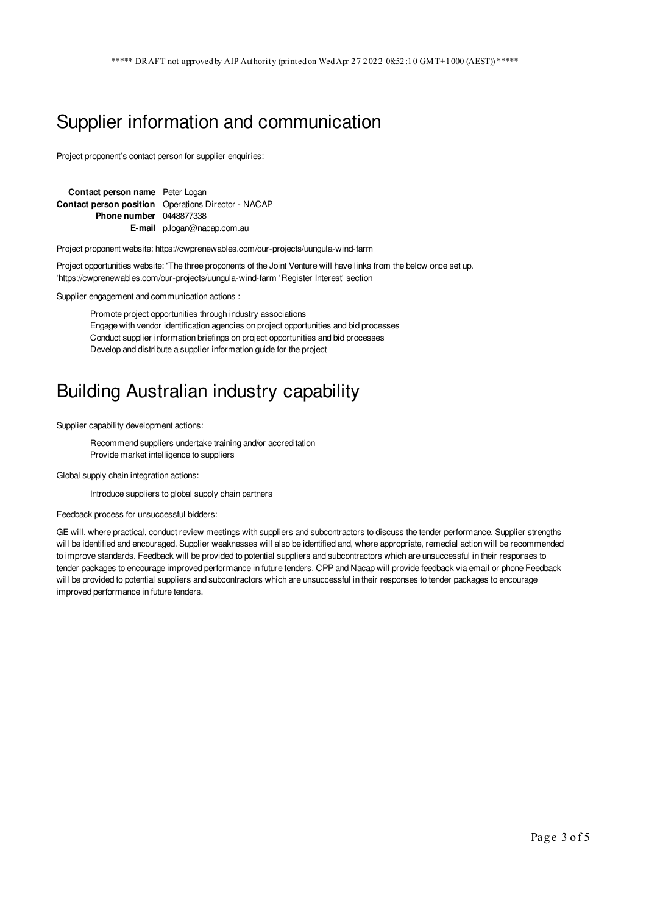### Supplier information and communication

Project proponent's contact person for supplier enquiries:

**Contact person name** Peter Logan **Contact person position** Operations Director - NACAP **Phone number** 0448877338 **E-mail** p.logan@nacap.com.au

Project proponent website: https://cwprenewables.com/our-projects/uungula-wind-farm

Project opportunities website: 'The three proponents of the Joint Venture will have links from the below once set up. 'https://cwprenewables.com/our-projects/uungula-wind-farm 'Register Interest' section

Supplier engagement and communication actions :

Promote project opportunities through industry associations Engage with vendor identification agencies on project opportunities and bid processes Conduct supplier information briefings on project opportunities and bid processes Develop and distribute a supplier information guide for the project

### Building Australian industry capability

Supplier capability development actions:

Recommend suppliers undertake training and/or accreditation Provide market intelligence to suppliers

Global supply chain integration actions:

Introduce suppliers to global supply chain partners

Feedback process for unsuccessful bidders:

GE will, where practical, conduct review meetings with suppliers and subcontractors to discuss the tender performance. Supplier strengths will be identified and encouraged. Supplier weaknesses will also be identified and, where appropriate, remedial action will be recommended to improve standards. Feedback will be provided to potential suppliers and subcontractors which are unsuccessful in their responses to tender packages to encourage improved performance in future tenders. CPP and Nacap will provide feedback via email or phone Feedback will be provided to potential suppliers and subcontractors which are unsuccessful in their responses to tender packages to encourage improved performance in future tenders.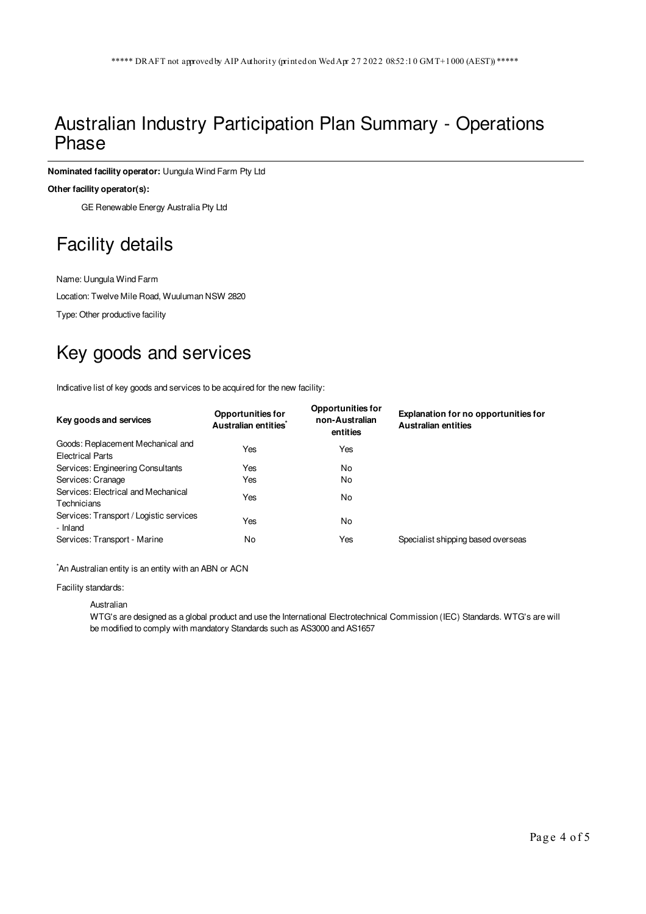### Australian Industry Participation Plan Summary - Operations Phase

**Nominated facility operator:** Uungula Wind Farm Pty Ltd

#### **Other facility operator(s):**

GE Renewable Energy Australia Pty Ltd

## Facility details

Name: Uungula Wind Farm

Location: Twelve Mile Road, Wuuluman NSW 2820

Type: Other productive facility

# Key goods and services

Indicative list of key goods and services to be acquired for the new facility:

| Key goods and services                                       | <b>Opportunities for</b><br>Australian entities <sup>®</sup> | <b>Opportunities for</b><br>non-Australian<br>entities | Explanation for no opportunities for<br><b>Australian entities</b> |
|--------------------------------------------------------------|--------------------------------------------------------------|--------------------------------------------------------|--------------------------------------------------------------------|
| Goods: Replacement Mechanical and<br><b>Electrical Parts</b> | Yes                                                          | Yes                                                    |                                                                    |
| Services: Engineering Consultants                            | Yes                                                          | No                                                     |                                                                    |
| Services: Cranage                                            | Yes                                                          | No                                                     |                                                                    |
| Services: Electrical and Mechanical<br>Technicians           | Yes                                                          | No                                                     |                                                                    |
| Services: Transport / Logistic services<br>- Inland          | Yes                                                          | No                                                     |                                                                    |
| Services: Transport - Marine                                 | No                                                           | Yes                                                    | Specialist shipping based overseas                                 |
|                                                              |                                                              |                                                        |                                                                    |

\*An Australian entity is an entity with an ABN or ACN

#### Facility standards:

Australian

WTG's are designed as a global product and use the International Electrotechnical Commission (IEC) Standards. WTG's are will be modified to comply with mandatory Standards such as AS3000 and AS1657